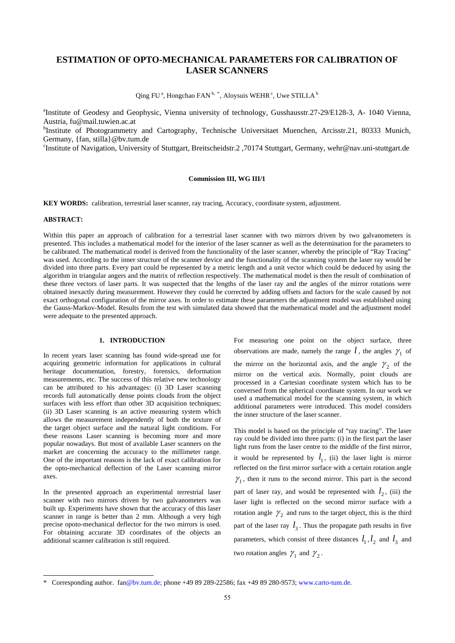# **ESTIMATION OF OPTO-MECHANICAL PARAMETERS FOR CALIBRATION OF LASER SCANNERS**

Qing FU<sup>a</sup>, Hongchao FAN<sup>b, [\\*](#page-0-0)</sup>, Aloysuis WEHR<sup>c</sup>, Uwe STILLA<sup>b</sup>

<sup>a</sup>Institute of Geodesy and Geophysic, Vienna university of technology, Gusshausstr.27-29/E128-3, A- 1040 Vienna, Austria, fu@mail.tuwien.ac.at

<sup>b</sup>Institute of Photogrammetry and Cartography, Technische Universitaet Muenchen, Arcisstr.21, 80333 Munich, Germany, {fan, stilla}@bv.tum.de

c Institute of Navigation, University of Stuttgart, Breitscheidstr.2 ,70174 Stuttgart, Germany, wehr@nav.uni-stuttgart.de

### **Commission III, WG III/1**

**KEY WORDS:** calibration, terrestrial laser scanner, ray tracing, Accuracy, coordinate system, adjustment.

#### **ABSTRACT:**

l

Within this paper an approach of calibration for a terrestrial laser scanner with two mirrors driven by two galvanometers is presented. This includes a mathematical model for the interior of the laser scanner as well as the determination for the parameters to be calibrated. The mathematical model is derived from the functionality of the laser scanner, whereby the principle of "Ray Tracing" was used. According to the inner structure of the scanner device and the functionality of the scanning system the laser ray would be divided into three parts. Every part could be represented by a metric length and a unit vector which could be deduced by using the algorithm in triangular angers and the matrix of reflection respectively. The mathematical model is then the result of combination of these three vectors of laser parts. It was suspected that the lengths of the laser ray and the angles of the mirror rotations were obtained inexactly during measurement. However they could be corrected by adding offsets and factors for the scale caused by not exact orthogonal configuration of the mirror axes. In order to estimate these parameters the adjustment model was established using the Gauss-Markov-Model. Results from the test with simulated data showed that the mathematical model and the adjustment model were adequate to the presented approach.

## **1. INTRODUCTION**

In recent years laser scanning has found wide-spread use for acquiring geometric information for applications in cultural heritage documentation, forestry, forensics, deformation measurements, etc. The success of this relative new technology can be attributed to his advantages: (i) 3D Laser scanning records full automatically dense points clouds from the object surfaces with less effort than other 3D acquisition techniques; (ii) 3D Laser scanning is an active measuring system which allows the measurement independently of both the texture of the target object surface and the natural light conditions. For these reasons Laser scanning is becoming more and more popular nowadays. But most of available Laser scanners on the market are concerning the accuracy to the millimeter range. One of the important reasons is the lack of exact calibration for the opto-mechanical deflection of the Laser scanning mirror axes.

In the presented approach an experimental terrestrial laser scanner with two mirrors driven by two galvanometers was built up. Experiments have shown that the accuracy of this laser scanner in range is better than 2 mm. Although a very high precise opoto-mechanical deflector for the two mirrors is used. For obtaining accurate 3D coordinates of the objects an additional scanner calibration is still required.

For measuring one point on the object surface, three observations are made, namely the range  $l$ , the angles  $\gamma_1$  of the mirror on the horizontal axis, and the angle  $\gamma_2$  of the mirror on the vertical axis. Normally, point clouds are processed in a Cartesian coordinate system which has to be conversed from the spherical coordinate system. In our work we used a mathematical model for the scanning system, in which additional parameters were introduced. This model considers the inner structure of the laser scanner.

This model is based on the principle of "ray tracing". The laser ray could be divided into three parts: (i) in the first part the laser light runs from the laser centre to the middle of the first mirror, it would be represented by  $l_1$ , (ii) the laser light is mirror reflected on the first mirror surface with a certain rotation angle  $\gamma_1$ , then it runs to the second mirror. This part is the second part of laser ray, and would be represented with  $l_2$ , (iii) the laser light is reflected on the second mirror surface with a rotation angle  $\gamma_2$  and runs to the target object, this is the third part of the laser ray  $l_3$ . Thus the propagate path results in five parameters, which consist of three distances  $l_1, l_2$  and  $l_3$  and two rotation angles  $\gamma_1$  and  $\gamma_2$ .

<span id="page-0-0"></span><sup>\*</sup> Corresponding author. fan@bv.tum.de; phone +49 89 289-22586; fax +49 89 280-9573; www.carto-tum.de.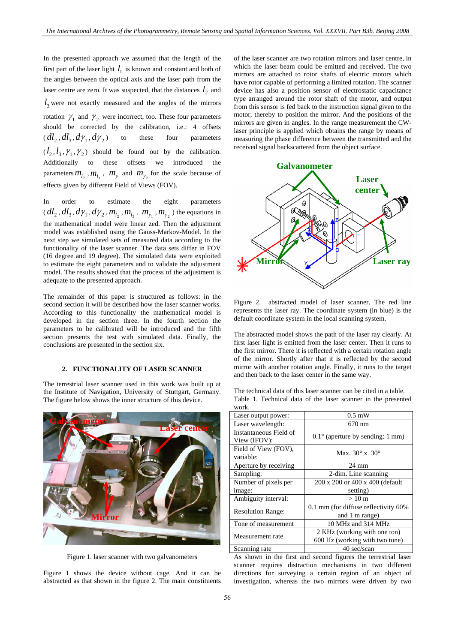In the presented approach we assumed that the length of the first part of the laser light  $l_1$  is known and constant and both of the angles between the optical axis and the laser path from the laser centre are zero. It was suspected, that the distances  $l_2$  and  $l_3$  were not exactly measured and the angles of the mirrors rotation  $\gamma_1$  and  $\gamma_2$  were incorrect, too. These four parameters should be corrected by the calibration, i.e.: 4 offsets  $(d l_2, d l_3, d \gamma_1, d \gamma_2)$  to these four parameters  $(l_2, l_3, \gamma_1, \gamma_2)$  should be found out by the calibration. Additionally to these offsets we introduced the parameters  $m_{l_2}$ ,  $m_{l_3}$ ,  $m_{\gamma_1}$  and  $m_{\gamma_2}$  for the scale because of effects given by different Field of Views (FOV).

In order to estimate the eight parameters  $dl_1, dl_3, d\gamma_1, d\gamma_2, m_{l_2}, m_{l_3}, m_{\gamma_1}, m_{\gamma_2}$ ) the equations in the mathematical model were linear zed. Then the adjustment model was established using the Gauss-Markov-Model. In the next step we simulated sets of measured data according to the functionality of the laser scanner. The data sets differ in FOV (16 degree and 19 degree). The simulated data were exploited to estimate the eight parameters and to validate the adjustment model. The results showed that the process of the adjustment is adequate to the presented approach.

The remainder of this paper is structured as follows: in the second section it will be described how the laser scanner works. According to this functionality the mathematical model is developed in the section three. In the fourth section the parameters to be calibrated will be introduced and the fifth section presents the test with simulated data. Finally, the conclusions are presented in the section six.

### **2. FUNCTIONALITY OF LASER SCANNER**

The terrestrial laser scanner used in this work was built up at the Institute of Navigation, University of Stuttgart, Germany. The figure below shows the inner structure of this device.



Figure 1. laser scanner with two galvanometers

Figure 1 shows the device without cage. And it can be abstracted as that shown in the figure 2. The main constituents of the laser scanner are two rotation mirrors and laser centre, in which the laser beam could be emitted and received. The two mirrors are attached to rotor shafts of electric motors which have rotor capable of performing a limited rotation. The scanner device has also a position sensor of electrostatic capacitance type arranged around the rotor shaft of the motor, and output from this sensor is fed back to the instruction signal given to the motor, thereby to position the mirror. And the positions of the mirrors are given in angles. In the range measurement the CWlaser principle is applied which obtains the range by means of measuring the phase difference between the transmitted and the received signal backscattered from the object surface.



Figure 2. abstracted model of laser scanner. The red line represents the laser ray. The coordinate system (in blue) is the default coordinate system in the local scanning system.

The abstracted model shows the path of the laser ray clearly. At first laser light is emitted from the laser center. Then it runs to the first mirror. There it is reflected with a certain rotation angle of the mirror. Shortly after that it is reflected by the second mirror with another rotation angle. Finally, it runs to the target and then back to the laser center in the same way.

The technical data of this laser scanner can be cited in a table. Table 1. Technical data of the laser scanner in the presented work.

| Laser output power:                    | $0.5$ mW                                                       |  |  |
|----------------------------------------|----------------------------------------------------------------|--|--|
| Laser wavelength:                      | 670 nm                                                         |  |  |
| Instantaneous Field of<br>View (IFOV): | $0.1^{\circ}$ (aperture by sending: 1 mm)                      |  |  |
| Field of View (FOV),<br>variable:      | Max. $30^\circ$ x $30^\circ$                                   |  |  |
| Aperture by receiving                  | 24 mm                                                          |  |  |
| Sampling:                              | 2-dim. Line scanning                                           |  |  |
| Number of pixels per                   | 200 x 200 or 400 x 400 (default                                |  |  |
| image:                                 | setting)                                                       |  |  |
| Ambiguity interval:                    | $>10 \text{ m}$                                                |  |  |
| <b>Resolution Range:</b>               | 0.1 mm (for diffuse reflectivity 60%)<br>and 1 m range)        |  |  |
| Tone of measurement                    | 10 MHz and 314 MHz                                             |  |  |
| Measurement rate                       | 2 KHz (working with one ton)<br>600 Hz (working with two tone) |  |  |
| Scanning rate                          | 40 sec/scan                                                    |  |  |

As shown in the first and second figures the terrestrial laser scanner requires distraction mechanisms in two different directions for surveying a certain region of an object of investigation, whereas the two mirrors were driven by two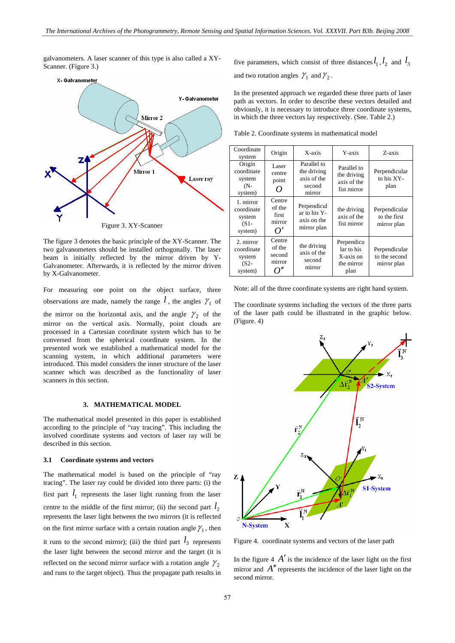galvanometers. A laser scanner of this type is also called a XY-Scanner. (Figure 3.)



The figure 3 denotes the basic principle of the XY-Scanner. The two galvanometers should be installed orthogonally. The laser beam is initially reflected by the mirror driven by Y-Galvanometer. Afterwards, it is reflected by the mirror driven by X-Galvanometer.

For measuring one point on the object surface, three observations are made, namely the range  $l$ , the angles  $\gamma_1$  of the mirror on the horizontal axis, and the angle  $\gamma_2$  of the mirror on the vertical axis. Normally, point clouds are processed in a Cartesian coordinate system which has to be conversed from the spherical coordinate system. In the presented work we established a mathematical model for the scanning system, in which additional parameters were introduced. This model considers the inner structure of the laser scanner which was described as the functionality of laser scanners in this section.

#### **3. MATHEMATICAL MODEL**

The mathematical model presented in this paper is established according to the principle of "ray tracing". This including the involved coordinate systems and vectors of laser ray will be described in this section.

#### **3.1 Coordinate systems and vectors**

The mathematical model is based on the principle of "ray tracing". The laser ray could be divided into three parts: (i) the first part  $l_1$  represents the laser light running from the laser centre to the middle of the first mirror; (ii) the second part  $l_2$ represents the laser light between the two mirrors (it is reflected on the first mirror surface with a certain rotation angle  $\gamma_1$ , then it runs to the second mirror); (iii) the third part  $l_3$  represents the laser light between the second mirror and the target (it is reflected on the second mirror surface with a rotation angle  $\gamma_2$ and runs to the target object). Thus the propagate path results in

five parameters, which consist of three distances  $l_1$ ,  $l_2$  and  $l_3$ and two rotation angles  $\gamma_1$  and  $\gamma_2$ .

In the presented approach we regarded these three parts of laser path as vectors. In order to describe these vectors detailed and obviously, it is necessary to introduce three coordinate systems, in which the three vectors lay respectively. (See. Table 2.)

Table 2. Coordinate systems in mathematical model

| Coordinate<br>system                                    | Origin                                           | X-axis                                                        | Y-axis                                                      | Z-axis                                        |
|---------------------------------------------------------|--------------------------------------------------|---------------------------------------------------------------|-------------------------------------------------------------|-----------------------------------------------|
| Origin<br>coordinate<br>system<br>$(N-$<br>system)      | Laser<br>centre<br>point<br>0                    | Parallel to<br>the driving<br>axis of the<br>second<br>mirror | Parallel to<br>the driving<br>axis of the<br>fist mirror    | Perpendicular<br>to his XY-<br>plan           |
| 1. mirror<br>coordinate<br>system<br>$(S1 -$<br>system) | Centre<br>of the<br>first<br>mirror<br>$\Omega'$ | Perpendicul<br>ar to his Y-<br>axis on the<br>mirror plan     | the driving<br>axis of the<br>fist mirror                   | Perpendicular<br>to the first<br>mirror plan  |
| 2. mirror<br>coordinate<br>system<br>$(S2 -$<br>system) | Centre<br>of the<br>second<br>mirror             | the driving<br>axis of the<br>second<br>mirror                | Perpendicu<br>lar to his<br>X-axis on<br>the mirror<br>plan | Perpendicular<br>to the second<br>mirror plan |

Note: all of the three coordinate systems are right hand system.

The coordinate systems including the vectors of the three parts of the laser path could be illustrated in the graphic below. (Figure. 4)



Figure 4. coordinate systems and vectors of the laser path

In the figure  $4 \nA'$  is the incidence of the laser light on the first mirror and A<sup>''</sup> represents the incidence of the laser light on the second mirror.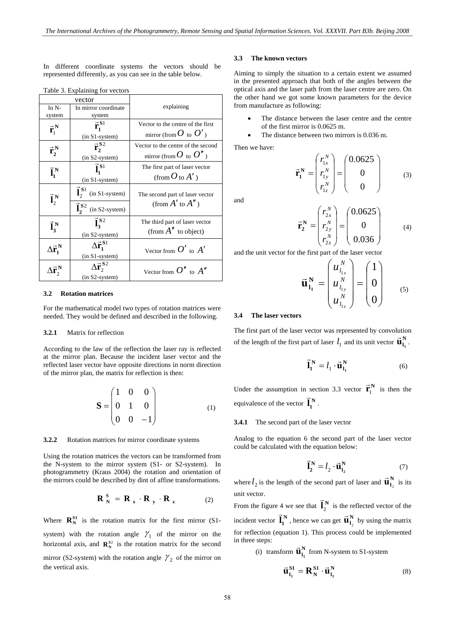In different coordinate systems the vectors should be represented differently, as you can see in the table below.

| vector                                    |                                                   |                                                                          |  |
|-------------------------------------------|---------------------------------------------------|--------------------------------------------------------------------------|--|
| In $N-$                                   | In mirror coordinate                              | explaining                                                               |  |
| system                                    | system                                            |                                                                          |  |
| $\vec{r}_1^N$                             | $\vec{r}_1^{\,S1}$<br>(in S1-system)              | Vector to the centre of the first<br>mirror (from $O$ to $O'$ )          |  |
| $\vec{r}_2^N$                             | $\vec{r}_{1}^{\text{S2}}$<br>(in S2-system)       | Vector to the centre of the second<br>mirror (from $O_{\text{to}} O''$ ) |  |
| $\vec{l}_1^N$                             | $\vec{l}_1^{S1}$<br>$(in S1-system)$              | The first part of laser vector<br>(from $O$ to $A'$ )                    |  |
| $\vec{l}_{2}^{N}$                         | $\vec{I}_{2}^{\text{S1}}$ (in S1-system)          | The second part of laser vector<br>(from $A'$ to $A'$ )                  |  |
|                                           | $\mathbf{\vec{l}_2}^{\mathbf{S}2}$ (in S2-system) |                                                                          |  |
| $\vec{l}^N_3$                             | $\vec{l}_3^{S2}$<br>(in S2-system)                | The third part of laser vector<br>(from $A''$ to object)                 |  |
| $\Delta \vec{\textbf{r}}_1^{\, \text{N}}$ | $\Delta \vec{r}_1^{\,S1}$<br>(in S1-system)       | Vector from $O'$ to $A'$                                                 |  |
|                                           | $\Delta \vec{r}_{1}^{\, S2}$<br>(in S2-system)    | Vector from $O''$ to $A''$                                               |  |

Table 3. Explaining for vectors

#### **3.2 Rotation matrices**

For the mathematical model two types of rotation matrices were needed. They would be defined and described in the following.

### **3.2.1** Matrix for reflection

According to the law of the reflection the laser ray is reflected at the mirror plan. Because the incident laser vector and the reflected laser vector have opposite directions in norm direction of the mirror plan, the matrix for reflection is then:

$$
\mathbf{S} = \begin{pmatrix} 1 & 0 & 0 \\ 0 & 1 & 0 \\ 0 & 0 & -1 \end{pmatrix}
$$
 (1)

#### **3.2.2** Rotation matrices for mirror coordinate systems

 $\mathbf{S}$ 

Using the rotation matrices the vectors can be transformed from the N-system to the mirror system (S1- or S2-system). In photogrammetry (Kraus 2004) the rotation and orientation of the mirrors could be described by dint of affine transformations.

$$
\mathbf{R}_{N}^{S} = \mathbf{R}_{x} \cdot \mathbf{R}_{y} \cdot \mathbf{R}_{z}
$$
 (2)

Where  $\mathbf{R}_{N}^{S1}$  is the rotation matrix for the first mirror (S1system) with the rotation angle  $\gamma_1$  of the mirror on the horizontal axis, and  $\mathbb{R}^{S_2}$  is the rotation matrix for the second mirror (S2-system) with the rotation angle  $\gamma_2$  of the mirror on the vertical axis.

#### **3.3 The known vectors**

Aiming to simply the situation to a certain extent we assumed in the presented approach that both of the angles between the optical axis and the laser path from the laser centre are zero. On the other hand we got some known parameters for the device from manufacture as following:

- The distance between the laser centre and the centre of the first mirror is 0.0625 m.
- The distance between two mirrors is 0.036 m.

Then we have:

$$
\vec{\mathbf{r}}_1^N = \begin{pmatrix} r_{1x}^N \\ r_{1y}^N \\ r_{1z}^N \end{pmatrix} = \begin{pmatrix} 0.0625 \\ 0 \\ 0 \end{pmatrix}
$$
 (3)

and

$$
\vec{\mathbf{r}}_2^N = \begin{pmatrix} r_{2x}^N \\ r_{2y}^N \\ r_{2z}^N \end{pmatrix} = \begin{pmatrix} 0.0625 \\ 0 \\ 0.036 \end{pmatrix}
$$
 (4)

and the unit vector for the first part of the laser vector

$$
\vec{\mathbf{u}}_{1_1}^N = \begin{pmatrix} u_{l_{1x}}^N \\ u_{l_{1y}}^N \\ u_{l_{1z}}^N \end{pmatrix} = \begin{pmatrix} 1 \\ 0 \\ 0 \end{pmatrix}
$$
 (5)

# **3.4 The laser vectors**

The first part of the laser vector was represented by convolution of the length of the first part of laser  $l_1$  and its unit vector  $\vec{u}_{l_1}^N$ .

$$
\vec{\mathbf{l}}_1^{\ \mathbf{N}} = l_1 \cdot \vec{\mathbf{u}}_{1_1}^{\ \mathbf{N}} \tag{6}
$$

Under the assumption in section 3.3 vector  $\vec{r}_1^N$  is then the equivalence of the vector  $\vec{l}_1^N$ .

## **3.4.1** The second part of the laser vector

Analog to the equation 6 the second part of the laser vector could be calculated with the equation below:

$$
\vec{\mathbf{l}}_2^{\ \mathbf{N}} = l_2 \cdot \vec{\mathbf{u}}_{1_2}^{\ \mathbf{N}} \tag{7}
$$

where  $l_2$  is the length of the second part of laser and  $\vec{\mathbf{u}}_{l_2}^N$  is its unit vector.

From the figure 4 we see that  $\vec{l}_{2}^{N}$  is the reflected vector of the incident vector  $\vec{l}_1^N$ , hence we can get  $\vec{u}_{l_2}^N$  by using the matrix for reflection (equation 1). This process could be implemented in three steps:

(i) transform  $\vec{u}_{l_1}^N$  from N-system to S1-system

$$
\vec{\mathbf{u}}_{l_1}^{S1} = \mathbf{R}_N^{S1} \cdot \vec{\mathbf{u}}_{l_1}^N
$$
 (8)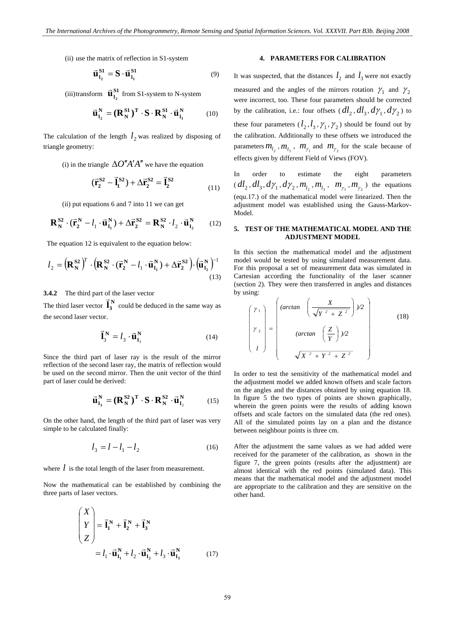$(ii)$  use the matrix of reflection in S1-system

$$
\vec{\mathbf{u}}_{l_2}^{SI} = \mathbf{S} \cdot \vec{\mathbf{u}}_{l_1}^{SI} \tag{9}
$$

(iii) transform  $\vec{u}_{1_2}^{S1}$  from S1-system to N-system

$$
\vec{\mathbf{u}}_{l_2}^N = (\mathbf{R}_N^{S1})^T \cdot \mathbf{S} \cdot \mathbf{R}_N^{S1} \cdot \vec{\mathbf{u}}_{l_1}^N \tag{10}
$$

The calculation of the length  $l_2$  was realized by disposing of triangle geometry:

(i) in the triangle  $\Delta O''A'A''$  we have the equation

$$
(\vec{r}_2^{S2} - \vec{l}_1^{S2}) + \Delta \vec{r}_2^{S2} = \vec{l}_2^{S2}
$$
 (11)

(ii) put equations 6 and 7 into 11 we can get

$$
\mathbf{R}_{N}^{S2} \cdot (\vec{\mathbf{r}}_{2}^{N} - l_{1} \cdot \vec{\mathbf{u}}_{1}^{N}) + \Delta \vec{\mathbf{r}}_{2}^{S2} = \mathbf{R}_{N}^{S2} \cdot l_{2} \cdot \vec{\mathbf{u}}_{1_{2}}^{N}
$$
 (12)

The equation 12 is equivalent to the equation below:

$$
l_2 = \left(\mathbf{R}_N^{S2}\right)^T \cdot \left(\mathbf{R}_N^{S2} \cdot (\vec{\mathbf{r}}_2^N - l_1 \cdot \vec{\mathbf{u}}_{1_1}^N) + \Delta \vec{\mathbf{r}}_2^{S2}\right) \cdot \left(\vec{\mathbf{u}}_{1_2}^N\right)^{-1}
$$
\n(13)

### **.4.2** The third part of the laser vector **3**

The third laser vector  $\vec{l}_3^N$  could be deduced in the same way as the second laser vector.

$$
\vec{\mathbf{l}}_3^{\mathbf{N}} = l_3 \cdot \vec{\mathbf{u}}_{1_3}^{\mathbf{N}} \tag{14}
$$

Since the third part of laser ray is the result of the mirror reflection of the second laser ray, the matrix of reflection would be used on the second mirror. Then the unit vector of the third part of laser could be derived:

$$
\vec{\mathbf{u}}_{l_3}^N = (\mathbf{R}_N^{S2})^T \cdot \mathbf{S} \cdot \mathbf{R}_N^{S2} \cdot \vec{\mathbf{u}}_{l_2}^N \tag{15}
$$

On the other hand, the length of the third part of laser was very simple to be calculated finally:

$$
l_3 = l - l_1 - l_2 \tag{16}
$$

where  $l$  is the total length of the laser from measurement.

Now the mathematical can be established by combining the three parts of laser vectors.

$$
\begin{pmatrix} X \\ Y \\ Z \end{pmatrix} = \vec{\mathbf{l}}_1^N + \vec{\mathbf{l}}_2^N + \vec{\mathbf{l}}_3^N
$$
  
=  $l_1 \cdot \vec{\mathbf{u}}_{1_1}^N + l_2 \cdot \vec{\mathbf{u}}_{1_2}^N + l_3 \cdot \vec{\mathbf{u}}_{1_3}^N$  (17)

# **4. PARAMETERS FOR CALIBRATION**

It was suspected, that the distances  $l_2$  and  $l_3$  were not exactly measured and the angles of the mirrors rotation  $\gamma_1$  and  $\gamma_2$ were incorrect, too. These four parameters should be corrected by the calibration, i.e.: four offsets  $dl_2, dl_3, d\gamma_1, d\gamma_2$  to these four parameters  $(l_2, l_3, \gamma_1, \gamma_2)$  should be found out by the calibration. Additionally to these offsets we introduced the parameters  $m_{l_2}$ ,  $m_{l_3}$ ,  $m_{\gamma_1}$  and  $m_{\gamma_2}$  for the scale because of effects given by different Field of Views (FOV).

In order to estimate the eight parameters  $dl_1, dl_3, d\gamma_1, d\gamma_2, m_{l_1}, m_{l_3}, m_{\gamma_1}, m_{\gamma_2}$ ) the equations (equ.17.) of the mathematical model were linearized. Then the adjustment model was established using the Gauss-Markov-Model.

# **5. TEST OF THE MATHEMATICAL MODEL AND THE ADJUSTMENT MODEL**

In this section the mathematical model and the adjustment model would be tested by using simulated measurement data. For this proposal a set of measurement data was simulated in Cartesian according the functionality of the laser scanner (section 2). They were then transferred in angles and distances by using:

$$
\begin{pmatrix}\nY_1 \\
Y_2 \\
I\n\end{pmatrix} = \begin{pmatrix}\n(\arctan\left(\frac{X}{\sqrt{Y^2 + Z^2}}\right)/2 \\
(\arctan\left(\frac{Z}{Y}\right)/2 \\
\sqrt{X^2 + Y^2 + Z^2}\n\end{pmatrix}
$$
\n(18)

In order to test the sensitivity of the mathematical model and the adjustment model we added known offsets and scale factors on the angles and the distances obtained by using equation 18. In figure 5 the two types of points are shown graphically, wherein the green points were the results of adding known offsets and scale factors on the simulated data (the red ones). All of the simulated points lay on a plan and the distance between neighbour points is three cm.

After the adjustment the same values as we had added were received for the parameter of the calibration, as shown in the figure 7, the green points (results after the adjustment) are almost identical with the red points (simulated data). This means that the mathematical model and the adjustment model are appropriate to the calibration and they are sensitive on the other hand.